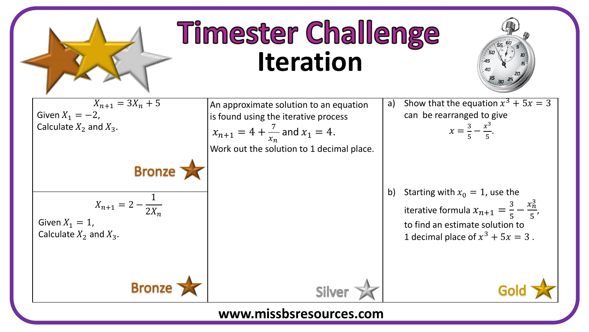